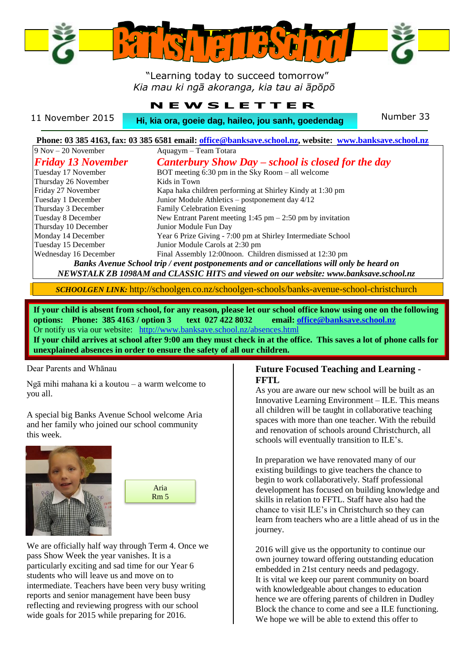

 "Learning today to succeed tomorrow" *Kia mau ki ngā akoranga, kia tau ai āpōpō*

|                  | <b>NEWSLETTER</b>                                   |           |
|------------------|-----------------------------------------------------|-----------|
| 11 November 2015 | Hi, kia ora, goeie dag, haileo, jou sanh, goedendag | Number 33 |

#### **Phone: 03 385 4163, fax: 03 385 6581 email: [office@banksave.school.nz,](mailto:office@banksave.school.nz) website: [www.banksave.school.nz](http://www.banksave.school.nz/)** . 9 Nov – 20 November **Aquagym – Team Totara** *Friday 13 November Canterbury Show Day – school is closed for the day* Tuesday 17 November BOT meeting 6:30 pm in the Sky Room – all welcome Thursday 26 November Kids in Town Kapa haka children performing at Shirley Kindy at 1:30 pm Tuesday 1 December Junior Module Athletics – postponement day 4/12 Thursday 3 December Family Celebration Evening Tuesday 8 December New Entrant Parent meeting 1:45 pm – 2:50 pm by invitation .

Thursday 10 December Junior Module Fun Day Monday 14 December Year 6 Prize Giving - 7:00 pm at Shirley Intermediate School Tuesday 15 December Junior Module Carols at 2:30 pm Wednesday 16 December Final Assembly 12:00noon. Children dismissed at 12:30 pm

*Banks Avenue School trip / event postponements and or cancellations will only be heard on NEWSTALK ZB 1098AM and CLASSIC HIT*S *and viewed on our website: www.banksave.school.nz*

*SCHOOLGEN LINK:* http://schoolgen.co.nz/schoolgen-schools/banks-avenue-school-christchurch

**If your child is absent from school, for any reason, please let our school office know using one on the following options: Phone: 385 4163 / option 3 text 027 422 8032 email[: office@banksave.school.nz](mailto:office@banksave.school.nz)**

Or notify us via our website: <http://www.banksave.school.nz/absences.html>

**If your child arrives at school after 9:00 am they must check in at the office. This saves a lot of phone calls for unexplained absences in order to ensure the safety of all our children.**

#### Dear Parents and Whānau

Ngā mihi mahana ki a koutou – a warm welcome to you all.

A special big Banks Avenue School welcome Aria and her family who joined our school community this week.





We are officially half way through Term 4. Once we pass Show Week the year vanishes. It is a particularly exciting and sad time for our Year 6 students who will leave us and move on to intermediate. Teachers have been very busy writing reports and senior management have been busy reflecting and reviewing progress with our school wide goals for 2015 while preparing for 2016.

#### **Future Focused Teaching and Learning - FFTL**

As you are aware our new school will be built as an Innovative Learning Environment – ILE. This means all children will be taught in collaborative teaching spaces with more than one teacher. With the rebuild and renovation of schools around Christchurch, all schools will eventually transition to ILE's.

In preparation we have renovated many of our existing buildings to give teachers the chance to begin to work collaboratively. Staff professional development has focused on building knowledge and skills in relation to FFTL. Staff have also had the chance to visit ILE's in Christchurch so they can learn from teachers who are a little ahead of us in the journey.

2016 will give us the opportunity to continue our own journey toward offering outstanding education embedded in 21st century needs and pedagogy. It is vital we keep our parent community on board with knowledgeable about changes to education hence we are offering parents of children in Dudley Block the chance to come and see a ILE functioning. We hope we will be able to extend this offer to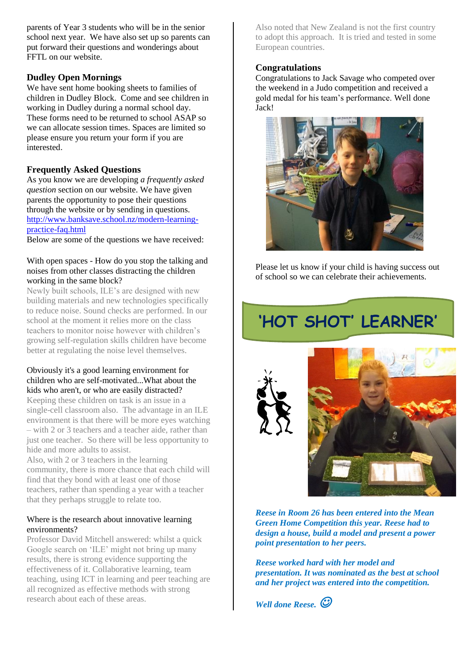parents of Year 3 students who will be in the senior school next year. We have also set up so parents can put forward their questions and wonderings about FFTL on our website.

#### **Dudley Open Mornings**

We have sent home booking sheets to families of children in Dudley Block. Come and see children in working in Dudley during a normal school day. These forms need to be returned to school ASAP so we can allocate session times. Spaces are limited so please ensure you return your form if you are interested.

#### **Frequently Asked Questions**

As you know we are developing *a frequently asked question* section on our website. We have given parents the opportunity to pose their questions through the website or by sending in questions. [http://www.banksave.school.nz/modern-learning](http://www.banksave.school.nz/modern-learning-practice-faq.html)[practice-faq.html](http://www.banksave.school.nz/modern-learning-practice-faq.html) 

Below are some of the questions we have received:

#### With open spaces - How do you stop the talking and noises from other classes distracting the children working in the same block?

Newly built schools, ILE's are designed with new building materials and new technologies specifically to reduce noise. Sound checks are performed. In our school at the moment it relies more on the class teachers to monitor noise however with children's growing self-regulation skills children have become better at regulating the noise level themselves.

#### Obviously it's a good learning environment for children who are self-motivated...What about the kids who aren't, or who are easily distracted?

Keeping these children on task is an issue in a single-cell classroom also. The advantage in an ILE environment is that there will be more eyes watching – with 2 or 3 teachers and a teacher aide, rather than just one teacher. So there will be less opportunity to hide and more adults to assist.

Also, with 2 or 3 teachers in the learning community, there is more chance that each child will find that they bond with at least one of those teachers, rather than spending a year with a teacher that they perhaps struggle to relate too.

#### Where is the research about innovative learning environments?

Professor David Mitchell answered: whilst a quick Google search on 'ILE' might not bring up many results, there is strong evidence supporting the effectiveness of it. Collaborative learning, team teaching, using ICT in learning and peer teaching are all recognized as effective methods with strong research about each of these areas.

Also noted that New Zealand is not the first country to adopt this approach. It is tried and tested in some European countries.

#### **Congratulations**

Congratulations to Jack Savage who competed over the weekend in a Judo competition and received a gold medal for his team's performance. Well done Jack!



Please let us know if your child is having success out of school so we can celebrate their achievements.

# **'HOT SHOT' LEARNER'**





*Reese in Room 26 has been entered into the Mean Green Home Competition this year. Reese had to design a house, build a model and present a power point presentation to her peers.*

*Reese worked hard with her model and presentation. It was nominated as the best at school and her project was entered into the competition.*

*Well done Reese.*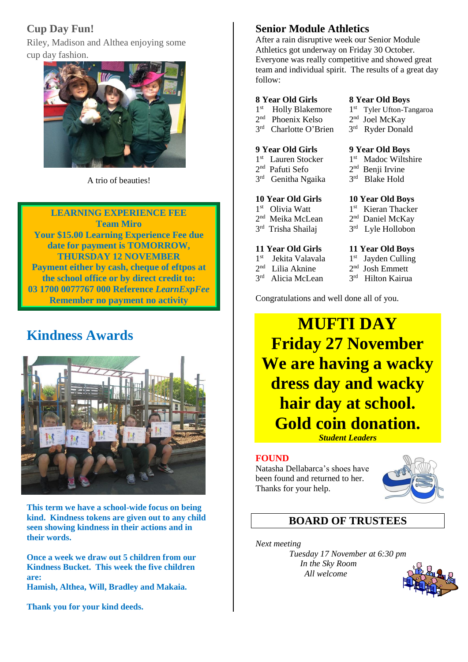## **Cup Day Fun!**

Riley, Madison and Althea enjoying some cup day fashion.



A trio of beauties!

### **LEARNING EXPERIENCE FEE**

**Team Miro Your \$15.00 Learning Experience Fee due date for payment is TOMORROW, THURSDAY 12 NOVEMBER Payment either by cash, cheque of eftpos at the school office or by direct credit to: 03 1700 0077767 000 Reference** *LearnExpFee* **Remember no payment no activity**

## **Kindness Awards**



**This term we have a school-wide focus on being kind. Kindness tokens are given out to any child seen showing kindness in their actions and in their words.**

**Once a week we draw out 5 children from our Kindness Bucket. This week the five children are:**

**Hamish, Althea, Will, Bradley and Makaia.**

**Thank you for your kind deeds.**

## **Senior Module Athletics**

After a rain disruptive week our Senior Module Athletics got underway on Friday 30 October. Everyone was really competitive and showed great team and individual spirit. The results of a great day follow:

#### **8 Year Old Girls 8 Year Old Boys**

- 1<sup>st</sup> Holly Blakemore 1
- st Tyler Ufton-Tangaroa
- 2 nd Phoenix Kelso 2
	- <sup>nd</sup> Joel McKay rd Ryder Donald

st Madoc Wiltshire

st Kieran Thacker

<sup>nd</sup> Daniel McKay

<sup>rd</sup> Lyle Hollobon

<sup>nd</sup> Benji Irvine

<sup>rd</sup> Blake Hold

3 rd Charlotte O'Brien 3

#### **9 Year Old Girls 9 Year Old Boys**

- 1<sup>st</sup> Lauren Stocker 1
- 2 nd Pafuti Sefo 2
- 3 rd Genitha Ngaika 3

#### **10 Year Old Girls 10 Year Old Boys**

- 1<sup>st</sup> Olivia Watt 1
- 2<sup>nd</sup> Meika McLean 2
- 3 rd Trisha Shailaj 3

#### **11 Year Old Girls 11 Year Old Boys**

- 1<sup>st</sup> Jekita Valavala 1
- 2 nd Lilia Aknine 2 3 rd Alicia McLean 3
- st Jayden Culling <sup>nd</sup> Josh Emmett
	- rd Hilton Kairua

Congratulations and well done all of you.

## **MUFTI DAY Friday 27 November We are having a wacky dress day and wacky hair day at school. Gold coin donation.**

*Student Leaders*

#### **FOUND**

Natasha Dellabarca's shoes have been found and returned to her. Thanks for your help.



## **BOARD OF TRUSTEES**

*Next meeting Tuesday 17 November at 6:30 pm In the Sky Room All welcome*